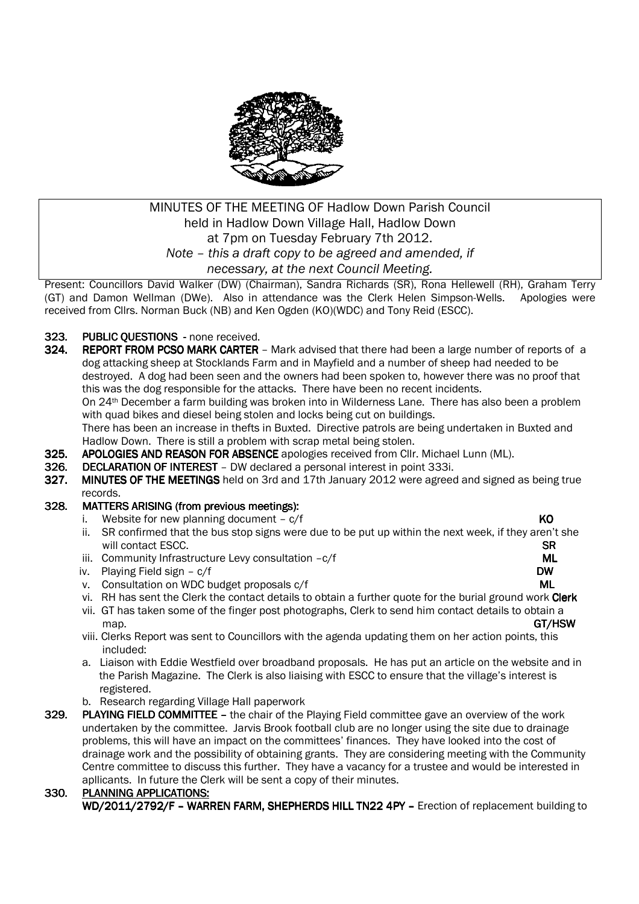

# MINUTES OF THE MEETING OF Hadlow Down Parish Council held in Hadlow Down Village Hall, Hadlow Down at 7pm on Tuesday February 7th 2012. *Note – this a draft copy to be agreed and amended, if necessary, at the next Council Meeting.*

Present: Councillors David Walker (DW) (Chairman), Sandra Richards (SR), Rona Hellewell (RH), Graham Terry (GT) and Damon Wellman (DWe). Also in attendance was the Clerk Helen Simpson-Wells. Apologies were received from Cllrs. Norman Buck (NB) and Ken Ogden (KO)(WDC) and Tony Reid (ESCC).

# 323. PUBLIC QUESTIONS - none received.<br>324. REPORT FROM PCSO MARK CARTER

- REPORT FROM PCSO MARK CARTER Mark advised that there had been a large number of reports of a dog attacking sheep at Stocklands Farm and in Mayfield and a number of sheep had needed to be destroyed. A dog had been seen and the owners had been spoken to, however there was no proof that this was the dog responsible for the attacks. There have been no recent incidents. On 24th December a farm building was broken into in Wilderness Lane. There has also been a problem with quad bikes and diesel being stolen and locks being cut on buildings. There has been an increase in thefts in Buxted. Directive patrols are being undertaken in Buxted and Hadlow Down. There is still a problem with scrap metal being stolen.
- 325. APOLOGIES AND REASON FOR ABSENCE apologies received from Cllr. Michael Lunn (ML).
- **326.** DECLARATION OF INTEREST DW declared a personal interest in point 333i.
- 327. MINUTES OF THE MEETINGS held on 3rd and 17th January 2012 were agreed and signed as being true records.
- 328. MATTERS ARISING (from previous meetings):
	- i. Website for new planning document  $c/f$  KO
	- ii. SR confirmed that the bus stop signs were due to be put up within the next week, if they aren't she will contact ESCC. SR
	- iii. Community Infrastructure Levy consultation  $-c/f$  and  $ML$
	- iv. Playing Field sign c/f DW
	- v. Consultation on WDC budget proposals  $c/f$  and  $M$  ML
	- vi. RH has sent the Clerk the contact details to obtain a further quote for the burial ground work Clerk
	- vii. GT has taken some of the finger post photographs, Clerk to send him contact details to obtain a map. **GT/HSW**
	- viii. Clerks Report was sent to Councillors with the agenda updating them on her action points, this included:
	- a. Liaison with Eddie Westfield over broadband proposals. He has put an article on the website and in the Parish Magazine. The Clerk is also liaising with ESCC to ensure that the village's interest is registered.
	- b. Research regarding Village Hall paperwork
- 329. PLAYING FIELD COMMITTEE the chair of the Playing Field committee gave an overview of the work undertaken by the committee. Jarvis Brook football club are no longer using the site due to drainage problems, this will have an impact on the committees' finances. They have looked into the cost of drainage work and the possibility of obtaining grants. They are considering meeting with the Community Centre committee to discuss this further. They have a vacancy for a trustee and would be interested in apllicants. In future the Clerk will be sent a copy of their minutes.

## 330. PLANNING APPLICATIONS:

WD/2011/2792/F – WARREN FARM, SHEPHERDS HILL TN22 4PY – Erection of replacement building to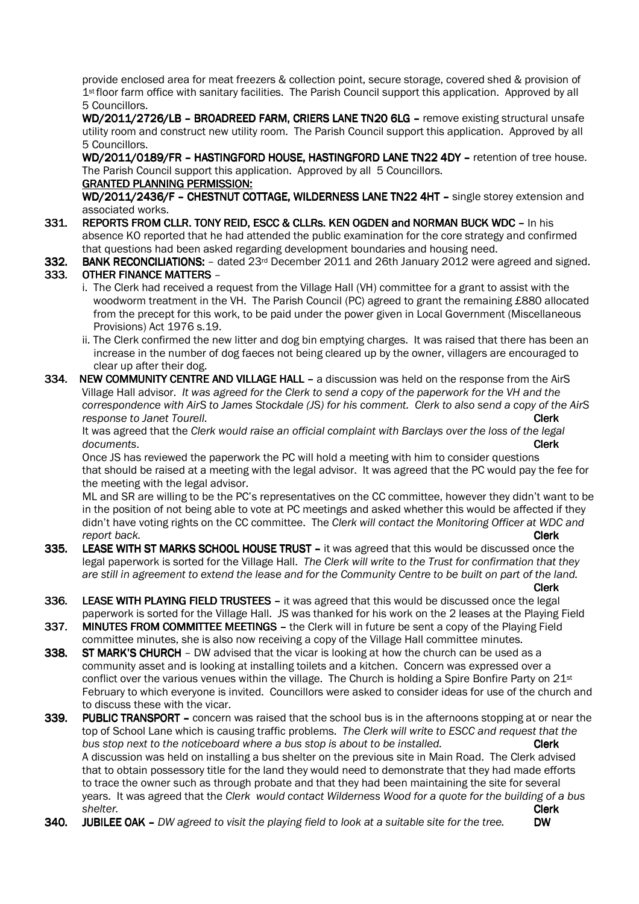provide enclosed area for meat freezers & collection point, secure storage, covered shed & provision of 1st floor farm office with sanitary facilities. The Parish Council support this application. Approved by all 5 Councillors.

WD/2011/2726/LB - BROADREED FARM, CRIERS LANE TN20 6LG - remove existing structural unsafe utility room and construct new utility room. The Parish Council support this application. Approved by all 5 Councillors.

WD/2011/0189/FR - HASTINGFORD HOUSE, HASTINGFORD LANE TN22 4DY - retention of tree house. The Parish Council support this application. Approved by all 5 Councillors.

#### GRANTED PLANNING PERMISSION:

WD/2011/2436/F - CHESTNUT COTTAGE, WILDERNESS LANE TN22 4HT - single storey extension and associated works.

331. REPORTS FROM CLLR. TONY REID, ESCC & CLLRS. KEN OGDEN and NORMAN BUCK WDC - In his absence KO reported that he had attended the public examination for the core strategy and confirmed that questions had been asked regarding development boundaries and housing need.

332. BANK RECONCILIATIONS:  $-$  dated 23<sup>rd</sup> December 2011 and 26th January 2012 were agreed and signed.

# 333. OTHER FINANCE MATTERS –

- i. The Clerk had received a request from the Village Hall (VH) committee for a grant to assist with the woodworm treatment in the VH. The Parish Council (PC) agreed to grant the remaining £880 allocated from the precept for this work, to be paid under the power given in Local Government (Miscellaneous Provisions) Act 1976 s.19.
- ii. The Clerk confirmed the new litter and dog bin emptying charges. It was raised that there has been an increase in the number of dog faeces not being cleared up by the owner, villagers are encouraged to clear up after their dog.
- 334. NEW COMMUNITY CENTRE AND VILLAGE HALL a discussion was held on the response from the AirS Village Hall advisor. *It was agreed for the Clerk to send a copy of the paperwork for the VH and the correspondence with AirS to James Stockdale (JS) for his comment. Clerk to also send a copy of the AirS response to Janet Tourell. Clerk*

 It was agreed that the *Clerk would raise an official complaint with Barclays over the loss of the legal documents*. **Clerk** 

Once JS has reviewed the paperwork the PC will hold a meeting with him to consider questions that should be raised at a meeting with the legal advisor. It was agreed that the PC would pay the fee for the meeting with the legal advisor.

ML and SR are willing to be the PC's representatives on the CC committee, however they didn't want to be in the position of not being able to vote at PC meetings and asked whether this would be affected if they didn't have voting rights on the CC committee. The *Clerk will contact the Monitoring Officer at WDC and report back.* **Clerk** Clerk Clerk Clerk Clerk Clerk Clerk Clerk Clerk Clerk Clerk Clerk Clerk Clerk Clerk Clerk

- 335. LEASE WITH ST MARKS SCHOOL HOUSE TRUST it was agreed that this would be discussed once the legal paperwork is sorted for the Village Hall. *The Clerk will write to the Trust for confirmation that they are still in agreement to extend the lease and for the Community Centre to be built on part of the land.* Clerk
- 336. LEASE WITH PLAYING FIELD TRUSTEES it was agreed that this would be discussed once the legal paperwork is sorted for the Village Hall. JS was thanked for his work on the 2 leases at the Playing Field
- 337. MINUTES FROM COMMITTEE MEETINGS the Clerk will in future be sent a copy of the Playing Field committee minutes, she is also now receiving a copy of the Village Hall committee minutes.
- 338. ST MARK'S CHURCH DW advised that the vicar is looking at how the church can be used as a community asset and is looking at installing toilets and a kitchen. Concern was expressed over a conflict over the various venues within the village. The Church is holding a Spire Bonfire Party on  $21st$ February to which everyone is invited. Councillors were asked to consider ideas for use of the church and to discuss these with the vicar.
- 339. PUBLIC TRANSPORT concern was raised that the school bus is in the afternoons stopping at or near the top of School Lane which is causing traffic problems. *The Clerk will write to ESCC and request that the bus stop next to the noticeboard where a bus stop is about to be installed.* **Clerk** A discussion was held on installing a bus shelter on the previous site in Main Road. The Clerk advised that to obtain possessory title for the land they would need to demonstrate that they had made efforts to trace the owner such as through probate and that they had been maintaining the site for several years. It was agreed that the *Clerk would contact Wilderness Wood for a quote for the building of a bus shelter.* Clerk
- 340. JUBILEE OAK *DW agreed to visit the playing field to look at a suitable site for the tree.* DW